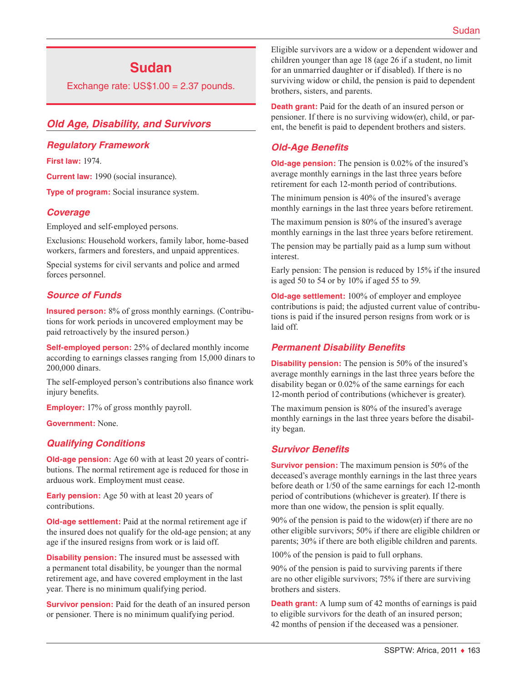# **Sudan**

Exchange rate: US\$1.00 = 2.37 pounds.

# *Old Age, Disability, and Survivors*

#### *Regulatory Framework*

**First law:** 1974.

**Current law:** 1990 (social insurance).

**Type of program:** Social insurance system.

#### *Coverage*

Employed and self-employed persons.

Exclusions: Household workers, family labor, home-based workers, farmers and foresters, and unpaid apprentices.

Special systems for civil servants and police and armed forces personnel.

#### *Source of Funds*

**Insured person:** 8% of gross monthly earnings. (Contributions for work periods in uncovered employment may be paid retroactively by the insured person.)

**Self-employed person:** 25% of declared monthly income according to earnings classes ranging from 15,000 dinars to 200,000 dinars.

The self-employed person's contributions also finance work injury benefits.

**Employer:** 17% of gross monthly payroll.

**Government:** None.

# *Qualifying Conditions*

**Old-age pension:** Age 60 with at least 20 years of contributions. The normal retirement age is reduced for those in arduous work. Employment must cease.

**Early pension:** Age 50 with at least 20 years of contributions.

**Old-age settlement:** Paid at the normal retirement age if the insured does not qualify for the old-age pension; at any age if the insured resigns from work or is laid off.

**Disability pension:** The insured must be assessed with a permanent total disability, be younger than the normal retirement age, and have covered employment in the last year. There is no minimum qualifying period.

**Survivor pension:** Paid for the death of an insured person or pensioner. There is no minimum qualifying period.

Eligible survivors are a widow or a dependent widower and children younger than age 18 (age 26 if a student, no limit for an unmarried daughter or if disabled). If there is no surviving widow or child, the pension is paid to dependent brothers, sisters, and parents.

**Death grant:** Paid for the death of an insured person or pensioner. If there is no surviving widow(er), child, or parent, the benefit is paid to dependent brothers and sisters.

# *Old-Age Benefits*

**Old-age pension:** The pension is 0.02% of the insured's average monthly earnings in the last three years before retirement for each 12-month period of contributions.

The minimum pension is 40% of the insured's average monthly earnings in the last three years before retirement.

The maximum pension is 80% of the insured's average monthly earnings in the last three years before retirement.

The pension may be partially paid as a lump sum without interest.

Early pension: The pension is reduced by 15% if the insured is aged 50 to 54 or by 10% if aged 55 to 59.

**Old-age settlement:** 100% of employer and employee contributions is paid; the adjusted current value of contributions is paid if the insured person resigns from work or is laid off.

# *Permanent Disability Benefits*

**Disability pension:** The pension is 50% of the insured's average monthly earnings in the last three years before the disability began or 0.02% of the same earnings for each 12-month period of contributions (whichever is greater).

The maximum pension is 80% of the insured's average monthly earnings in the last three years before the disability began.

# *Survivor Benefits*

**Survivor pension:** The maximum pension is 50% of the deceased's average monthly earnings in the last three years before death or 1/50 of the same earnings for each 12-month period of contributions (whichever is greater). If there is more than one widow, the pension is split equally.

90% of the pension is paid to the widow(er) if there are no other eligible survivors; 50% if there are eligible children or parents; 30% if there are both eligible children and parents.

100% of the pension is paid to full orphans.

90% of the pension is paid to surviving parents if there are no other eligible survivors; 75% if there are surviving brothers and sisters.

**Death grant:** A lump sum of 42 months of earnings is paid to eligible survivors for the death of an insured person; 42 months of pension if the deceased was a pensioner.